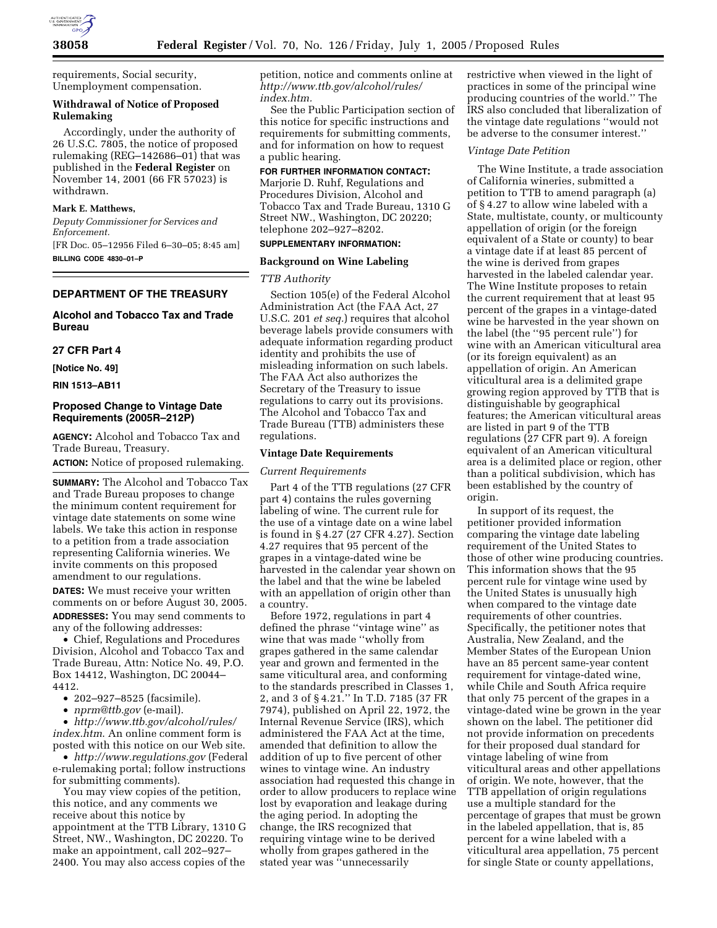

requirements, Social security, Unemployment compensation.

## **Withdrawal of Notice of Proposed Rulemaking**

Accordingly, under the authority of 26 U.S.C. 7805, the notice of proposed rulemaking (REG–142686–01) that was published in the **Federal Register** on November 14, 2001 (66 FR 57023) is withdrawn.

### **Mark E. Matthews,**

*Deputy Commissioner for Services and Enforcement.*

[FR Doc. 05–12956 Filed 6–30–05; 8:45 am] **BILLING CODE 4830–01–P**

# **DEPARTMENT OF THE TREASURY**

# **Alcohol and Tobacco Tax and Trade Bureau**

## **27 CFR Part 4**

**[Notice No. 49]** 

**RIN 1513–AB11**

# **Proposed Change to Vintage Date Requirements (2005R–212P)**

**AGENCY:** Alcohol and Tobacco Tax and Trade Bureau, Treasury.

**ACTION:** Notice of proposed rulemaking.

**SUMMARY:** The Alcohol and Tobacco Tax and Trade Bureau proposes to change the minimum content requirement for vintage date statements on some wine labels. We take this action in response to a petition from a trade association representing California wineries. We invite comments on this proposed amendment to our regulations.

**DATES:** We must receive your written comments on or before August 30, 2005. **ADDRESSES:** You may send comments to any of the following addresses:

• Chief, Regulations and Procedures Division, Alcohol and Tobacco Tax and Trade Bureau, Attn: Notice No. 49, P.O. Box 14412, Washington, DC 20044– 4412.

- 202–927–8525 (facsimile).
- *nprm@ttb.gov* (e-mail).

• *http://www.ttb.gov/alcohol/rules/ index.htm*. An online comment form is posted with this notice on our Web site.

• *http://www.regulations.gov* (Federal e-rulemaking portal; follow instructions for submitting comments).

You may view copies of the petition, this notice, and any comments we receive about this notice by appointment at the TTB Library, 1310 G Street, NW., Washington, DC 20220. To make an appointment, call 202–927– 2400. You may also access copies of the

petition, notice and comments online at *http://www.ttb.gov/alcohol/rules/ index.htm.*

See the Public Participation section of this notice for specific instructions and requirements for submitting comments, and for information on how to request a public hearing.

#### **FOR FURTHER INFORMATION CONTACT:**

Marjorie D. Ruhf, Regulations and Procedures Division, Alcohol and Tobacco Tax and Trade Bureau, 1310 G Street NW., Washington, DC 20220; telephone 202–927–8202.

# **SUPPLEMENTARY INFORMATION:**

#### **Background on Wine Labeling**

## *TTB Authority*

Section 105(e) of the Federal Alcohol Administration Act (the FAA Act, 27 U.S.C. 201 *et seq.*) requires that alcohol beverage labels provide consumers with adequate information regarding product identity and prohibits the use of misleading information on such labels. The FAA Act also authorizes the Secretary of the Treasury to issue regulations to carry out its provisions. The Alcohol and Tobacco Tax and Trade Bureau (TTB) administers these regulations.

#### **Vintage Date Requirements**

#### *Current Requirements*

Part 4 of the TTB regulations (27 CFR part 4) contains the rules governing labeling of wine. The current rule for the use of a vintage date on a wine label is found in § 4.27 (27 CFR 4.27). Section 4.27 requires that 95 percent of the grapes in a vintage-dated wine be harvested in the calendar year shown on the label and that the wine be labeled with an appellation of origin other than a country.

Before 1972, regulations in part 4 defined the phrase ''vintage wine'' as wine that was made ''wholly from grapes gathered in the same calendar year and grown and fermented in the same viticultural area, and conforming to the standards prescribed in Classes 1, 2, and 3 of § 4.21.'' In T.D. 7185 (37 FR 7974), published on April 22, 1972, the Internal Revenue Service (IRS), which administered the FAA Act at the time, amended that definition to allow the addition of up to five percent of other wines to vintage wine. An industry association had requested this change in order to allow producers to replace wine lost by evaporation and leakage during the aging period. In adopting the change, the IRS recognized that requiring vintage wine to be derived wholly from grapes gathered in the stated year was ''unnecessarily

restrictive when viewed in the light of practices in some of the principal wine producing countries of the world.'' The IRS also concluded that liberalization of the vintage date regulations ''would not be adverse to the consumer interest.''

#### *Vintage Date Petition*

The Wine Institute, a trade association of California wineries, submitted a petition to TTB to amend paragraph (a) of § 4.27 to allow wine labeled with a State, multistate, county, or multicounty appellation of origin (or the foreign equivalent of a State or county) to bear a vintage date if at least 85 percent of the wine is derived from grapes harvested in the labeled calendar year. The Wine Institute proposes to retain the current requirement that at least 95 percent of the grapes in a vintage-dated wine be harvested in the year shown on the label (the ''95 percent rule'') for wine with an American viticultural area (or its foreign equivalent) as an appellation of origin. An American viticultural area is a delimited grape growing region approved by TTB that is distinguishable by geographical features; the American viticultural areas are listed in part 9 of the TTB regulations (27 CFR part 9). A foreign equivalent of an American viticultural area is a delimited place or region, other than a political subdivision, which has been established by the country of origin.

In support of its request, the petitioner provided information comparing the vintage date labeling requirement of the United States to those of other wine producing countries. This information shows that the 95 percent rule for vintage wine used by the United States is unusually high when compared to the vintage date requirements of other countries. Specifically, the petitioner notes that Australia, New Zealand, and the Member States of the European Union have an 85 percent same-year content requirement for vintage-dated wine, while Chile and South Africa require that only 75 percent of the grapes in a vintage-dated wine be grown in the year shown on the label. The petitioner did not provide information on precedents for their proposed dual standard for vintage labeling of wine from viticultural areas and other appellations of origin. We note, however, that the TTB appellation of origin regulations use a multiple standard for the percentage of grapes that must be grown in the labeled appellation, that is, 85 percent for a wine labeled with a viticultural area appellation, 75 percent for single State or county appellations,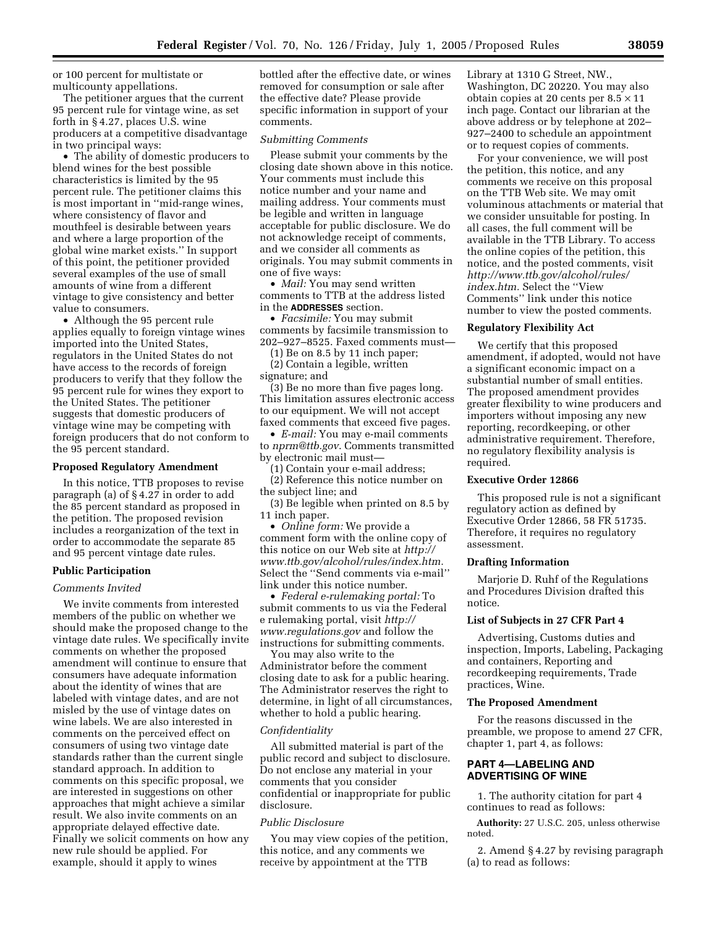or 100 percent for multistate or multicounty appellations.

The petitioner argues that the current 95 percent rule for vintage wine, as set forth in § 4.27, places U.S. wine producers at a competitive disadvantage in two principal ways:

• The ability of domestic producers to blend wines for the best possible characteristics is limited by the 95 percent rule. The petitioner claims this is most important in ''mid-range wines, where consistency of flavor and mouthfeel is desirable between years and where a large proportion of the global wine market exists.'' In support of this point, the petitioner provided several examples of the use of small amounts of wine from a different vintage to give consistency and better value to consumers.

• Although the 95 percent rule applies equally to foreign vintage wines imported into the United States, regulators in the United States do not have access to the records of foreign producers to verify that they follow the 95 percent rule for wines they export to the United States. The petitioner suggests that domestic producers of vintage wine may be competing with foreign producers that do not conform to the 95 percent standard.

### **Proposed Regulatory Amendment**

In this notice, TTB proposes to revise paragraph (a) of § 4.27 in order to add the 85 percent standard as proposed in the petition. The proposed revision includes a reorganization of the text in order to accommodate the separate 85 and 95 percent vintage date rules.

### **Public Participation**

## *Comments Invited*

We invite comments from interested members of the public on whether we should make the proposed change to the vintage date rules. We specifically invite comments on whether the proposed amendment will continue to ensure that consumers have adequate information about the identity of wines that are labeled with vintage dates, and are not misled by the use of vintage dates on wine labels. We are also interested in comments on the perceived effect on consumers of using two vintage date standards rather than the current single standard approach. In addition to comments on this specific proposal, we are interested in suggestions on other approaches that might achieve a similar result. We also invite comments on an appropriate delayed effective date. Finally we solicit comments on how any new rule should be applied. For example, should it apply to wines

bottled after the effective date, or wines removed for consumption or sale after the effective date? Please provide specific information in support of your comments.

### *Submitting Comments*

Please submit your comments by the closing date shown above in this notice. Your comments must include this notice number and your name and mailing address. Your comments must be legible and written in language acceptable for public disclosure. We do not acknowledge receipt of comments, and we consider all comments as originals. You may submit comments in one of five ways:

• *Mail:* You may send written comments to TTB at the address listed in the **ADDRESSES** section.

• *Facsimile:* You may submit comments by facsimile transmission to 202–927–8525. Faxed comments must—

(1) Be on 8.5 by 11 inch paper; (2) Contain a legible, written

signature; and

(3) Be no more than five pages long. This limitation assures electronic access to our equipment. We will not accept faxed comments that exceed five pages.

• *E-mail:* You may e-mail comments to *nprm@ttb.gov*. Comments transmitted by electronic mail must—

(1) Contain your e-mail address;

(2) Reference this notice number on the subject line; and

(3) Be legible when printed on 8.5 by 11 inch paper.

• *Online form:* We provide a comment form with the online copy of this notice on our Web site at *http:// www.ttb.gov/alcohol/rules/index.htm.* Select the ''Send comments via e-mail'' link under this notice number.

• *Federal e-rulemaking portal:* To submit comments to us via the Federal e rulemaking portal, visit *http:// www.regulations.gov* and follow the instructions for submitting comments.

You may also write to the Administrator before the comment closing date to ask for a public hearing. The Administrator reserves the right to determine, in light of all circumstances, whether to hold a public hearing.

#### *Confidentiality*

All submitted material is part of the public record and subject to disclosure. Do not enclose any material in your comments that you consider confidential or inappropriate for public disclosure.

### *Public Disclosure*

You may view copies of the petition, this notice, and any comments we receive by appointment at the TTB

Library at 1310 G Street, NW., Washington, DC 20220. You may also obtain copies at 20 cents per  $8.5 \times 11$ inch page. Contact our librarian at the above address or by telephone at 202– 927–2400 to schedule an appointment or to request copies of comments.

For your convenience, we will post the petition, this notice, and any comments we receive on this proposal on the TTB Web site. We may omit voluminous attachments or material that we consider unsuitable for posting. In all cases, the full comment will be available in the TTB Library. To access the online copies of the petition, this notice, and the posted comments, visit *http://www.ttb.gov/alcohol/rules/ index.htm.* Select the ''View Comments'' link under this notice number to view the posted comments.

# **Regulatory Flexibility Act**

We certify that this proposed amendment, if adopted, would not have a significant economic impact on a substantial number of small entities. The proposed amendment provides greater flexibility to wine producers and importers without imposing any new reporting, recordkeeping, or other administrative requirement. Therefore, no regulatory flexibility analysis is required.

## **Executive Order 12866**

This proposed rule is not a significant regulatory action as defined by Executive Order 12866, 58 FR 51735. Therefore, it requires no regulatory assessment.

#### **Drafting Information**

Marjorie D. Ruhf of the Regulations and Procedures Division drafted this notice.

#### **List of Subjects in 27 CFR Part 4**

Advertising, Customs duties and inspection, Imports, Labeling, Packaging and containers, Reporting and recordkeeping requirements, Trade practices, Wine.

### **The Proposed Amendment**

For the reasons discussed in the preamble, we propose to amend 27 CFR, chapter 1, part 4, as follows:

## **PART 4—LABELING AND ADVERTISING OF WINE**

1. The authority citation for part 4 continues to read as follows:

**Authority:** 27 U.S.C. 205, unless otherwise noted.

2. Amend § 4.27 by revising paragraph (a) to read as follows: